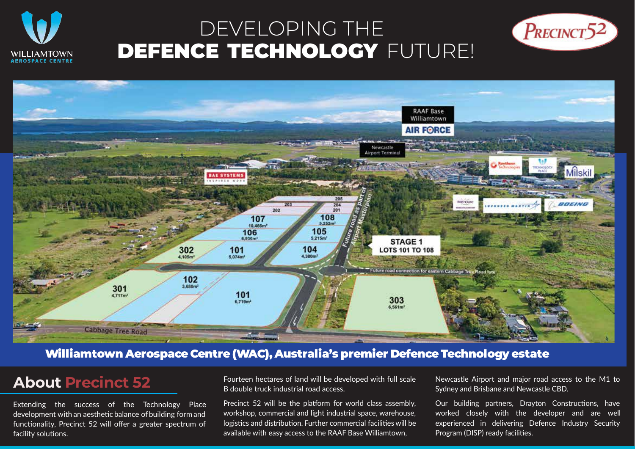

# DEVELOPING THE DEFENCE TECHNOLOGY FUTURE!





### Williamtown Aerospace Centre (WAC), Australia's premier Defence Technology estate

## **About Precinct 52**

Extending the success of the Technology Place development with an aesthetic balance of building form and functionality, Precinct 52 will offer a greater spectrum of facility solutions.

Fourteen hectares of land will be developed with full scale B double truck industrial road access.

Precinct 52 will be the platform for world class assembly, workshop, commercial and light industrial space, warehouse, logistics and distribution. Further commercial facilities will be available with easy access to the RAAF Base Williamtown,

Newcastle Airport and major road access to the M1 to Sydney and Brisbane and Newcastle CBD.

Our building partners, Drayton Constructions, have worked closely with the developer and are well experienced in delivering Defence Industry Security Program (DISP) ready facilities.